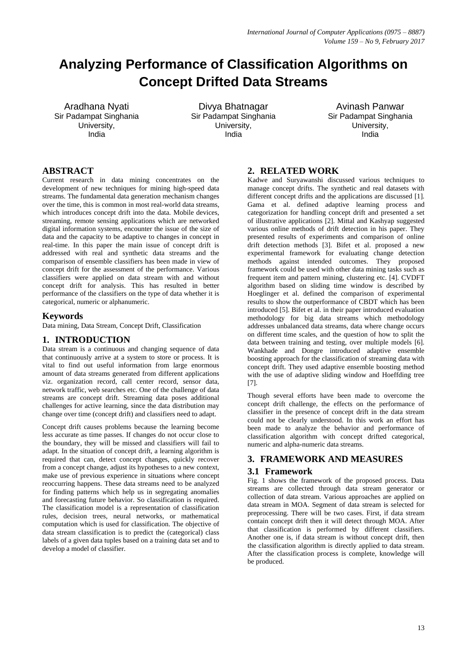# **Analyzing Performance of Classification Algorithms on Concept Drifted Data Streams**

Aradhana Nyati Sir Padampat Singhania University, India

Divya Bhatnagar Sir Padampat Singhania University, India

Avinash Panwar Sir Padampat Singhania University, India

# **ABSTRACT**

Current research in data mining concentrates on the development of new techniques for mining high-speed data streams. The fundamental data generation mechanism changes over the time, this is common in most real-world data streams, which introduces concept drift into the data. Mobile devices, streaming, remote sensing applications which are networked digital information systems, encounter the issue of the size of data and the capacity to be adaptive to changes in concept in real-time. In this paper the main issue of concept drift is addressed with real and synthetic data streams and the comparison of ensemble classifiers has been made in view of concept drift for the assessment of the performance. Various classifiers were applied on data stream with and without concept drift for analysis. This has resulted in better performance of the classifiers on the type of data whether it is categorical, numeric or alphanumeric.

# **Keywords**

Data mining, Data Stream, Concept Drift, Classification

# **1. INTRODUCTION**

Data stream is a continuous and changing sequence of data that continuously arrive at a system to store or process. It is vital to find out useful information from large enormous amount of data streams generated from different applications viz. organization record, call center record, sensor data, network traffic, web searches etc. One of the challenge of data streams are concept drift. Streaming data poses additional challenges for active learning, since the data distribution may change over time (concept drift) and classifiers need to adapt.

Concept drift causes problems because the learning become less accurate as time passes. If changes do not occur close to the boundary, they will be missed and classifiers will fail to adapt. In the situation of concept drift, a learning algorithm is required that can, detect concept changes, quickly recover from a concept change, adjust its hypotheses to a new context, make use of previous experience in situations where concept reoccurring happens. These data streams need to be analyzed for finding patterns which help us in segregating anomalies and forecasting future behavior. So classification is required. The classification model is a representation of classification rules, decision trees, neural networks, or mathematical computation which is used for classification. The objective of data stream classification is to predict the (categorical) class labels of a given data tuples based on a training data set and to develop a model of classifier.

# **2. RELATED WORK**

Kadwe and Suryawanshi discussed various techniques to manage concept drifts. The synthetic and real datasets with different concept drifts and the applications are discussed [1]. Gama et al. defined adaptive learning process and categorization for handling concept drift and presented a set of illustrative applications [2]. Mittal and Kashyap suggested various online methods of drift detection in his paper. They presented results of experiments and comparison of online drift detection methods [3]. Bifet et al. proposed a new experimental framework for evaluating change detection methods against intended outcomes. They proposed framework could be used with other data mining tasks such as frequent item and pattern mining, clustering etc. [4]. CVDFT algorithm based on sliding time window is described by Hoeglinger et al. defined the comparison of experimental results to show the outperformance of CBDT which has been introduced [5]. Bifet et al. in their paper introduced evaluation methodology for big data streams which methodology addresses unbalanced data streams, data where change occurs on different time scales, and the question of how to split the data between training and testing, over multiple models [6]. Wankhade and Dongre introduced adaptive ensemble boosting approach for the classification of streaming data with concept drift. They used adaptive ensemble boosting method with the use of adaptive sliding window and Hoeffding tree [7].

Though several efforts have been made to overcome the concept drift challenge, the effects on the performance of classifier in the presence of concept drift in the data stream could not be clearly understood. In this work an effort has been made to analyze the behavior and performance of classification algorithm with concept drifted categorical, numeric and alpha-numeric data streams.

# **3. FRAMEWORK AND MEASURES**

# **3.1 Framework**

Fig. 1 shows the framework of the proposed process. Data streams are collected through data stream generator or collection of data stream. Various approaches are applied on data stream in MOA. Segment of data stream is selected for preprocessing. There will be two cases. First, if data stream contain concept drift then it will detect through MOA. After that classification is performed by different classifiers. Another one is, if data stream is without concept drift, then the classification algorithm is directly applied to data stream. After the classification process is complete, knowledge will be produced.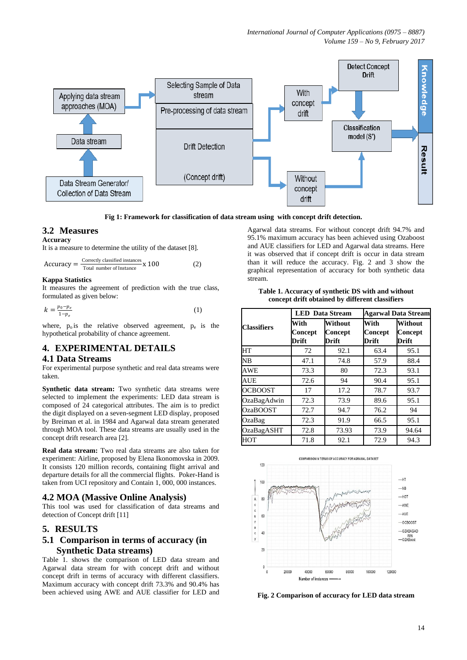*International Journal of Computer Applications (0975 – 8887) Volume 159 – No 9, February 2017*



**Fig 1: Framework for classification of data stream using with concept drift detection.**

#### **3.2 Measures**

**Accuracy**

It is a measure to determine the utility of the dataset [8].

$$
Accuracy = \frac{Correctly classified instances}{Total number of instance} \times 100
$$
 (2)

#### **Kappa Statistics**

It measures the agreement of prediction with the true class, formulated as given below:

$$
k = \frac{p_0 - p_e}{1 - p_e} \tag{1}
$$

where,  $p_0$  is the relative observed agreement,  $p_e$  is the hypothetical probability of chance agreement.

## **4. EXPERIMENTAL DETAILS**

#### **4.1 Data Streams**

For experimental purpose synthetic and real data streams were taken.

**Synthetic data stream:** Two synthetic data streams were selected to implement the experiments: LED data stream is composed of 24 categorical attributes. The aim is to predict the digit displayed on a seven-segment LED display, proposed by Breiman et al. in 1984 and Agarwal data stream generated through MOA tool. These data streams are usually used in the concept drift research area [2].

**Real data stream:** Two real data streams are also taken for experiment: Airline, proposed by Elena Ikonomovska in 2009. It consists 120 million records, containing flight arrival and departure details for all the commercial flights. Poker-Hand is taken from UCI repository and Contain 1, 000, 000 instances.

#### **4.2 MOA (Massive Online Analysis)**

This tool was used for classification of data streams and detection of Concept drift [11]

# **5. RESULTS**

# **5.1 Comparison in terms of accuracy (in Synthetic Data streams)**

Table 1. shows the comparison of LED data stream and Agarwal data stream for with concept drift and without concept drift in terms of accuracy with different classifiers. Maximum accuracy with concept drift 73.3% and 90.4% has been achieved using AWE and AUE classifier for LED and Agarwal data streams. For without concept drift 94.7% and 95.1% maximum accuracy has been achieved using Ozaboost and AUE classifiers for LED and Agarwal data streams. Here it was observed that if concept drift is occur in data stream than it will reduce the accuracy. Fig. 2 and 3 show the graphical representation of accuracy for both synthetic data stream.

#### **Table 1. Accuracy of synthetic DS with and without concept drift obtained by different classifiers**

|                    |                          | <b>LED</b> Data Stream      |                                 | <b>Agarwal Data Stream</b>         |  |  |
|--------------------|--------------------------|-----------------------------|---------------------------------|------------------------------------|--|--|
| <b>Classifiers</b> | With<br>Concept<br>Drift | Without<br>Concept<br>Drift | With<br><b>Concept</b><br>Drift | <b>Without</b><br>Concept<br>Drift |  |  |
| HТ                 | 72                       | 92.1                        | 63.4                            | 95.1                               |  |  |
| NB                 | 47.1                     | 74.8                        | 57.9                            | 88.4                               |  |  |
| AWE                | 73.3                     | 80                          | 72.3                            | 93.1                               |  |  |
| <b>AUE</b>         | 72.6                     | 94                          | 90.4                            | 95.1                               |  |  |
| <b>OCBOOST</b>     | 17                       | 17.2                        | 78.7                            | 93.7                               |  |  |
| OzaBagAdwin        | 72.3                     | 73.9                        | 89.6                            | 95.1                               |  |  |
| <b>OzaBOOST</b>    | 72.7                     | 94.7                        | 76.2                            | 94                                 |  |  |
| OzaBag             | 72.3                     | 91.9                        | 66.5                            | 95.1                               |  |  |
| <b>OzaBagASHT</b>  | 72.8                     | 73.93                       | 73.9                            | 94.64                              |  |  |
| нот                | 71.8                     | 92.1                        | 72.9                            | 94.3                               |  |  |



**Fig. 2 Comparison of accuracy for LED data stream**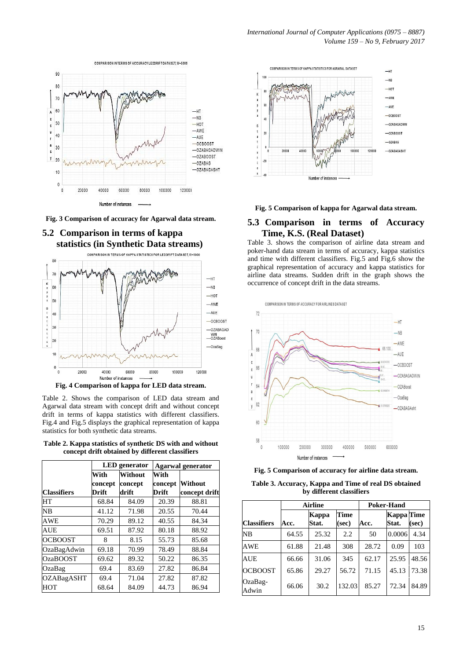



**Fig. 3 Comparison of accuracy for Agarwal data stream.**



Table 2. Shows the comparison of LED data stream and Agarwal data stream with concept drift and without concept drift in terms of kappa statistics with different classifiers. Fig.4 and Fig.5 displays the graphical representation of kappa statistics for both synthetic data streams.

**Table 2. Kappa statistics of synthetic DS with and without concept drift obtained by different classifiers**

|                    | <b>LED</b> generator |         | <b>Agarwal generator</b> |               |  |
|--------------------|----------------------|---------|--------------------------|---------------|--|
|                    | With                 | Without | With                     |               |  |
|                    | concept              | concept | concept                  | Without       |  |
| <b>Classifiers</b> | Drift                | drift   | Drift                    | concept drift |  |
| HТ                 | 68.84                | 84.09   | 20.39                    | 88.81         |  |
| NB                 | 41.12                | 71.98   | 20.55                    | 70.44         |  |
| AWE                | 70.29                | 89.12   | 40.55                    | 84.34         |  |
| AUE                | 69.51                | 87.92   | 80.18                    | 88.92         |  |
| <b>OCBOOST</b>     | 8                    | 8.15    | 55.73                    | 85.68         |  |
| OzaBagAdwin        | 69.18                | 70.99   | 78.49                    | 88.84         |  |
| <b>OzaBOOST</b>    | 69.62                | 89.32   | 50.22                    | 86.35         |  |
| OzaBag             | 69.4                 | 83.69   | 27.82                    | 86.84         |  |
| <b>OZABagASHT</b>  | 69.4                 | 71.04   | 27.82                    | 87.82         |  |
| HOT                | 68.64                | 84.09   | 44.73                    | 86.94         |  |





# **5.3 Comparison in terms of Accuracy Time, K.S. (Real Dataset)**

Table 3. shows the comparison of airline data stream and poker-hand data stream in terms of accuracy, kappa statistics and time with different classifiers. Fig.5 and Fig.6 show the graphical representation of accuracy and kappa statistics for airline data streams. Sudden drift in the graph shows the occurrence of concept drift in the data streams.



**Fig. 5 Comparison of accuracy for airline data stream.** 

| Table 3. Accuracy, Kappa and Time of real DS obtained |  |
|-------------------------------------------------------|--|
| by different classifiers                              |  |

|                    | <b>Airline</b> |                |               | <b>Poker-Hand</b> |                     |       |  |
|--------------------|----------------|----------------|---------------|-------------------|---------------------|-------|--|
| <b>Classifiers</b> | Acc.           | Kappa<br>Stat. | Time<br>(sec) | Acc.              | Kappa Time<br>Stat. | (sec) |  |
| <b>NB</b>          | 64.55          | 25.32          | 2.2           | 50                | 0.0006              | 4.34  |  |
| AWE                | 61.88          | 21.48          | 308           | 28.72             | 0.09                | 103   |  |
| AUE                | 66.66          | 31.06          | 345           | 62.17             | 25.95               | 48.56 |  |
| <b>OCBOOST</b>     | 65.86          | 29.27          | 56.72         | 71.15             | 45.13               | 73.38 |  |
| OzaBag-<br>Adwin   | 66.06          | 30.2           | 132.03        | 85.27             | 72.34               | 84.89 |  |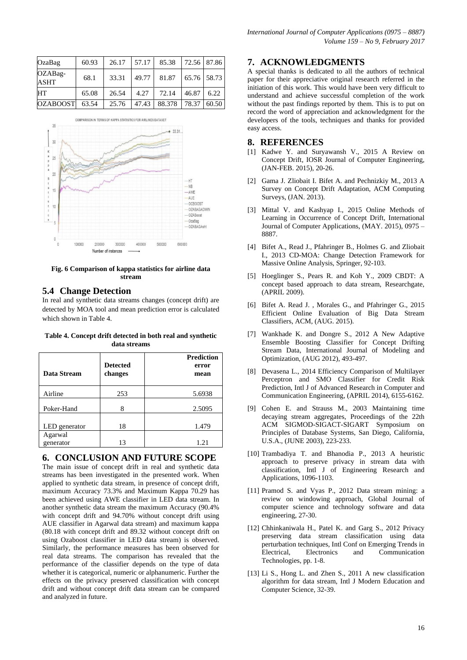| OzaBag                 | 60.93 | 26.17 | 57.17 | 85.38        | 72.56 87.86 |       |
|------------------------|-------|-------|-------|--------------|-------------|-------|
| OZABag-<br><b>ASHT</b> | 68.1  | 33.31 | 49.77 | 81.87        | 65.76 58.73 |       |
| <b>HT</b>              | 65.08 | 26.54 | 4.27  | 72.14        | 46.87       | 6.22  |
| <b>OZABOOST</b>        | 63.54 | 25.76 | 47.43 | 88.378 78.37 |             | 60.50 |



**Fig. 6 Comparison of kappa statistics for airline data stream**

#### **5.4 Change Detection**

In real and synthetic data streams changes (concept drift) are detected by MOA tool and mean prediction error is calculated which shown in Table 4.

**Table 4. Concept drift detected in both real and synthetic data streams**

| Data Stream          | <b>Detected</b><br>changes | <b>Prediction</b><br>error<br>mean |
|----------------------|----------------------------|------------------------------------|
| Airline              | 253                        | 5.6938                             |
| Poker-Hand           | 8                          | 2.5095                             |
| LED generator        | 18                         | 1.479                              |
| Agarwal<br>generator | 13                         | 1.21                               |

#### **6. CONCLUSION AND FUTURE SCOPE**

The main issue of concept drift in real and synthetic data streams has been investigated in the presented work. When applied to synthetic data stream, in presence of concept drift, maximum Accuracy 73.3% and Maximum Kappa 70.29 has been achieved using AWE classifier in LED data stream. In another synthetic data stream the maximum Accuracy (90.4% with concept drift and 94.70% without concept drift using AUE classifier in Agarwal data stream) and maximum kappa (80.18 with concept drift and 89.32 without concept drift on using Ozaboost classifier in LED data stream) is observed. Similarly, the performance measures has been observed for real data streams. The comparison has revealed that the performance of the classifier depends on the type of data whether it is categorical, numeric or alphanumeric. Further the effects on the privacy preserved classification with concept drift and without concept drift data stream can be compared and analyzed in future.

## **7. ACKNOWLEDGMENTS**

A special thanks is dedicated to all the authors of technical paper for their appreciative original research referred in the initiation of this work. This would have been very difficult to understand and achieve successful completion of the work without the past findings reported by them. This is to put on record the word of appreciation and acknowledgment for the developers of the tools, techniques and thanks for provided easy access.

## **8. REFERENCES**

- [1] Kadwe Y. and Suryawansh V., 2015 A Review on Concept Drift, IOSR Journal of Computer Engineering, (JAN-FEB. 2015), 20-26.
- [2] Gama J. Zliobait I. Bifet A. and Pechnizkiy M., 2013 A Survey on Concept Drift Adaptation, ACM Computing Surveys, (JAN. 2013).
- [3] Mittal V. and Kashyap I., 2015 Online Methods of Learning in Occurrence of Concept Drift, International Journal of Computer Applications, (MAY. 2015), 0975 – 8887.
- [4] Bifet A., Read J., Pfahringer B., Holmes G. and Zliobait I., 2013 CD-MOA: Change Detection Framework for Massive Online Analysis, Springer, 92-103.
- [5] Hoeglinger S., Pears R. and Koh Y., 2009 CBDT: A concept based approach to data stream, Researchgate, (APRIL 2009).
- [6] Bifet A. Read J. , Morales G., and Pfahringer G., 2015 Efficient Online Evaluation of Big Data Stream Classifiers, ACM, (AUG. 2015).
- [7] Wankhade K. and Dongre S., 2012 A New Adaptive Ensemble Boosting Classifier for Concept Drifting Stream Data, International Journal of Modeling and Optimization, (AUG 2012), 493-497.
- [8] Devasena L., 2014 Efficiency Comparison of Multilayer Perceptron and SMO Classifier for Credit Risk Prediction, Intl J of Advanced Research in Computer and Communication Engineering, (APRIL 2014), 6155-6162.
- [9] Cohen E. and Strauss M., 2003 Maintaining time decaying stream aggregates, Proceedings of the 22th ACM SIGMOD-SIGACT-SIGART Symposium on Principles of Database Systems, San Diego, California, U.S.A., (JUNE 2003), 223-233.
- [10] Trambadiya T. and Bhanodia P., 2013 A heuristic approach to preserve privacy in stream data with classification, Intl J of Engineering Research and Applications, 1096-1103.
- [11] Pramod S. and Vyas P., 2012 Data stream mining: a review on windowing approach, Global Journal of computer science and technology software and data engineering, 27-30.
- [12] Chhinkaniwala H., Patel K. and Garg S., 2012 Privacy preserving data stream classification using data perturbation techniques, Intl Conf on Emerging Trends in Electrical, Electronics and Communication Technologies, pp. 1-8.
- [13] Li S., Hong L. and Zhen S., 2011 A new classification algorithm for data stream, Intl J Modern Education and Computer Science, 32-39.